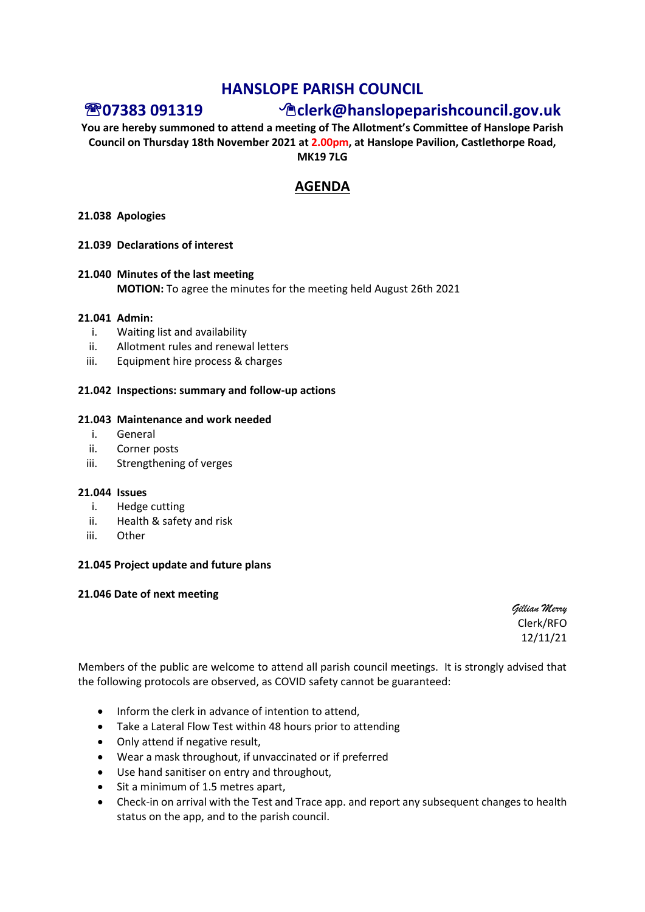# **HANSLOPE PARISH COUNCIL**

# **07383 091319 clerk@hanslopeparishcouncil.gov.uk**

**You are hereby summoned to attend a meeting of The Allotment's Committee of Hanslope Parish Council on Thursday 18th November 2021 at 2.00pm, at Hanslope Pavilion, Castlethorpe Road, MK19 7LG**

# **AGENDA**

### **21.038 Apologies**

### **21.039 Declarations of interest**

## **21.040 Minutes of the last meeting MOTION:** To agree the minutes for the meeting held August 26th 2021

## **21.041 Admin:**

- i. Waiting list and availability
- ii. Allotment rules and renewal letters
- iii. Equipment hire process & charges

### **21.042 Inspections: summary and follow-up actions**

#### **21.043 Maintenance and work needed**

- i. General
- ii. Corner posts
- iii. Strengthening of verges

#### **21.044 Issues**

- i. Hedge cutting
- ii. Health & safety and risk
- iii. Other

## **21.045 Project update and future plans**

#### **21.046 Date of next meeting**

*Gillian Merry* Clerk/RFO 12/11/21

Members of the public are welcome to attend all parish council meetings. It is strongly advised that the following protocols are observed, as COVID safety cannot be guaranteed:

- Inform the clerk in advance of intention to attend,
- Take a Lateral Flow Test within 48 hours prior to attending
- Only attend if negative result,
- Wear a mask throughout, if unvaccinated or if preferred
- Use hand sanitiser on entry and throughout,
- Sit a minimum of 1.5 metres apart,
- Check-in on arrival with the Test and Trace app. and report any subsequent changes to health status on the app, and to the parish council.